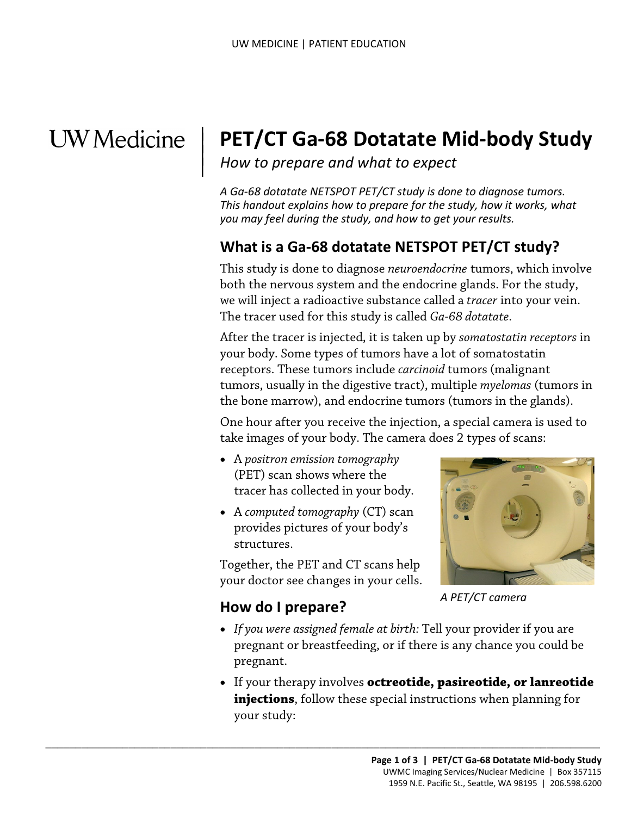## **UW** Medicine

|

# **PET/CT Ga-68 Dotatate Mid-body Study** How to prepare and what to expect

*A Ga-68 dotatate NETSPOT PET/CT study is done to diagnose tumors. This handout explains how to prepare for the study, how it works, what you may feel during the study, and how to get your results.* 

#### **What is a Ga-68 dotatate NETSPOT PET/CT study?**

 The tracer used for this study is called *Ga-68 dotatate.*  This study is done to diagnose *neuroendocrine* tumors, which involve both the nervous system and the endocrine glands. For the study, we will inject a radioactive substance called a *tracer* into your vein.

 the bone marrow), and endocrine tumors (tumors in the glands). both the nervous system and the endocrine glands. For the st<br>we will inject a radioactive substance called a *tracer* into your<br>The tracer used for this study is called *Ga-68 dotatate*.<br>After the tracer is injected, it is After the tracer is injected, it is taken up by *somatostatin receptors* in your body. Some types of tumors have a lot of somatostatin receptors. These tumors include *carcinoid* tumors (malignant tumors, usually in the digestive tract), multiple *myelomas* (tumors in

> One hour after you receive the injection, a special camera is used to take images of your body. The camera does 2 types of scans:

- A *positron emission tomography*  (PET) scan shows where the tracer has collected in your body.
- • A *computed tomography* (CT) scan structures. provides pictures of your body's

Together, the PET and CT scans help your doctor see changes in your cells.

 $\_$  , and the set of the set of the set of the set of the set of the set of the set of the set of the set of the set of the set of the set of the set of the set of the set of the set of the set of the set of the set of th



 *A PET/CT camera* 

### **How do I prepare?**

- *If you were assigned female at birth:* Tell your provider if you are pregnant or breastfeeding, or if there is any chance you could be pregnant.
- **injections**, follow these special instructions when planning for • If your therapy involves **octreotide, pasireotide, or lanreotide**  your study: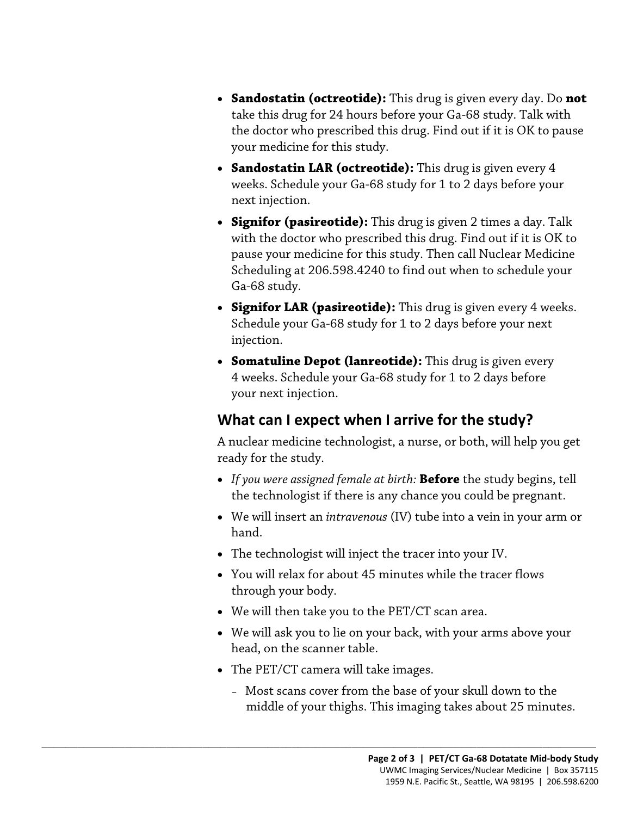- **Sandostatin (octreotide):** This drug is given every day. Do **not**  take this drug for 24 hours before your Ga-68 study. Talk with the doctor who prescribed this drug. Find out if it is OK to pause your medicine for this study.
- weeks. Schedule your Ga-68 study for 1 to 2 days before your next injection. • **Sandostatin LAR (octreotide):** This drug is given every 4
- **Signifor (pasireotide):** This drug is given 2 times a day. Talk with the doctor who prescribed this drug. Find out if it is OK to pause your medicine for this study. Then call Nuclear Medicine Scheduling at 206.598.4240 to find out when to schedule your Ga-68 study.
- Schedule your Ga-68 study for 1 to 2 days before your next Ga-68 study.<br>
• **Signifor LAR (pasireotide):** This drug is given every 4 we Schedule your Ga-68 study for 1 to 2 days before your next injection.<br>
• **Somatuline Depot (lanreotide):** This drug is given every 4 weeks. Schedu • **Signifor LAR (pasireotide):** This drug is given every 4 weeks. injection.
	- your next injection. • **Somatuline Depot (lanreotide):** This drug is given every 4 weeks. Schedule your Ga-68 study for 1 to 2 days before

#### **What can I expect when I arrive for the study?**

A nuclear medicine technologist, a nurse, or both, will help you get ready for the study.

- • *If you were assigned female at birth:* **Before** the study begins, tell the technologist if there is any chance you could be pregnant.
- We will insert an *intravenous* (IV) tube into a vein in your arm or hand.
- The technologist will inject the tracer into your IV.
- You will relax for about 45 minutes while the tracer flows through your body.
- We will then take you to the PET/CT scan area.
- • We will ask you to lie on your back, with your arms above your head, on the scanner table.
- The PET/CT camera will take images.

 $\_$  ,  $\_$  ,  $\_$  ,  $\_$  ,  $\_$  ,  $\_$  ,  $\_$  ,  $\_$  ,  $\_$  ,  $\_$  ,  $\_$  ,  $\_$  ,  $\_$  ,  $\_$  ,  $\_$  ,  $\_$  ,  $\_$  ,  $\_$  ,  $\_$  ,  $\_$  ,  $\_$  ,  $\_$  ,  $\_$  ,  $\_$  ,  $\_$  ,  $\_$  ,  $\_$  ,  $\_$  ,  $\_$  ,  $\_$  ,  $\_$  ,  $\_$  ,  $\_$  ,  $\_$  ,  $\_$  ,  $\_$  ,  $\_$  ,

 – Most scans cover from the base of your skull down to the middle of your thighs. This imaging takes about 25 minutes.